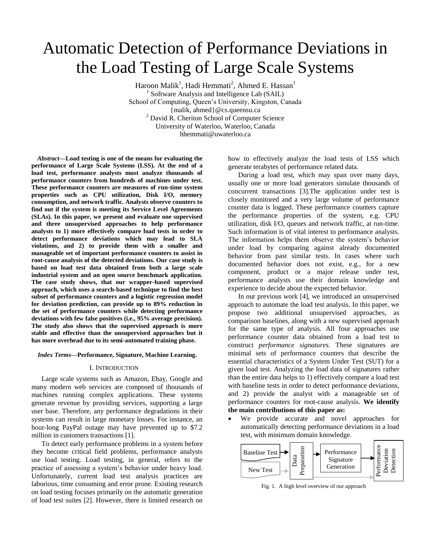# Automatic Detection of Performance Deviations in the Load Testing of Large Scale Systems

Haroon Malik<sup>1</sup>, Hadi Hemmati<sup>2</sup>, Ahmed E. Hassan<sup>1</sup> 1 Software Analysis and Intelligence Lab (SAIL) School of Computing, Queen"s University, Kingston, Canada {malik, ahmed}@cs.queensu.ca <sup>2</sup> David R. Cheriton School of Computer Science University of Waterloo, Waterloo, Canada hhemmati@uwaterloo.ca

*Abstract***—Load testing is one of the means for evaluating the performance of Large Scale Systems (LSS). At the end of a load test, performance analysts must analyze thousands of performance counters from hundreds of machines under test. These performance counters are measures of run-time system properties such as CPU utilization, Disk I/O, memory consumption, and network traffic. Analysts observe counters to find out if the system is meeting its Service Level Agreements (SLAs). In this paper, we present and evaluate one supervised and three unsupervised approaches to help performance analysts to 1) more effectively compare load tests in order to detect performance deviations which may lead to SLA violations, and 2) to provide them with a smaller and manageable set of important performance counters to assist in root-cause analysis of the detected deviations. Our case study is based on load test data obtained from both a large scale industrial system and an open source benchmark application. The case study shows, that our wrapper-based supervised approach, which uses a search-based technique to find the best subset of performance counters and a logistic regression model for deviation prediction, can provide up to 89% reduction in the set of performance counters while detecting performance deviations with few false positives (i.e., 95% average precision). The study also shows that the supervised approach is more stable and effective than the unsupervised approaches but it has more overhead due to its semi-automated training phase.**

## *Index Terms***—Performance, Signature, Machine Learning.**

## I. INTRODUCTION

Large scale systems such as Amazon, Ebay, Google and many modern web services are composed of thousands of machines running complex applications. These systems generate revenue by providing services, supporting a large user base. Therefore, any performance degradations in their systems can result in large monetary losses. For instance, an hour-long PayPal outage may have prevented up to \$7.2 million in customers transactions [1].

To detect early performance problems in a system before they become critical field problems, performance analysts use load testing. Load testing, in general, refers to the practice of assessing a system"s behavior under heavy load. Unfortunately, current load test analysis practices are laborious, time consuming and error prone. Existing research on load testing focuses primarily on the automatic generation of load test suites [2]. However, there is limited research on how to effectively analyze the load tests of LSS which generate terabytes of performance related data.

During a load test, which may span over many days, usually one or more load generators simulate thousands of concurrent transactions [3].The application under test is closely monitored and a very large volume of performance counter data is logged. These performance counters capture the performance properties of the system, e.g. CPU utilization, disk I/O, queues and network traffic, at run-time. Such information is of vital interest to performance analysts. The information helps them observe the system"s behavior under load by comparing against already documented behavior from past similar tests. In cases where such documented behavior does not exist, e.g., for a new component, product or a major release under test, performance analysts use their domain knowledge and experience to decide about the expected behavior.

In our previous work [4], we introduced an unsupervised approach to automate the load test analysis. In this paper, we propose two additional unsupervised approaches, as comparison baselines, along with a new supervised approach for the same type of analysis. All four approaches use performance counter data obtained from a load test to construct *performance signatures*. These signatures are minimal sets of performance counters that describe the essential characteristics of a System Under Test (SUT) for a given load test. Analyzing the load data of signatures rather than the entire data helps to 1) effectively compare a load test with baseline tests in order to detect performance deviations, and 2) provide the analyst with a manageable set of performance counters for root-cause analysis. **We identify the main contributions of this paper as:**

 We provide accurate and novel approaches for automatically detecting performance deviations in a load test, with minimum domain knowledge.



Fig. 1. A high level overview of our approach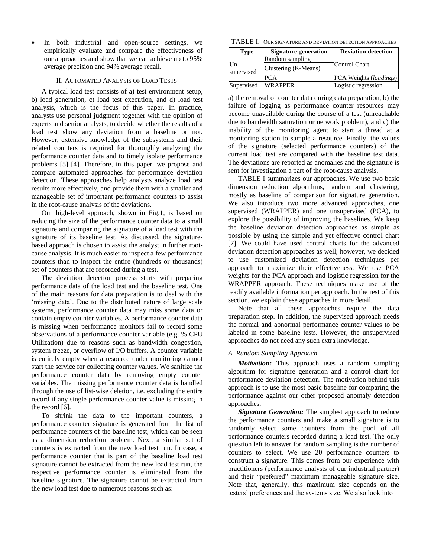In both industrial and open-source settings, we empirically evaluate and compare the effectiveness of our approaches and show that we can achieve up to 95% average precision and 94% average recall.

# II. AUTOMATED ANALYSIS OF LOAD TESTS

A typical load test consists of a) test environment setup, b) load generation, c) load test execution, and d) load test analysis, which is the focus of this paper. In practice, analysts use personal judgment together with the opinion of experts and senior analysts, to decide whether the results of a load test show any deviation from a baseline or not. However, extensive knowledge of the subsystems and their related counters is required for thoroughly analyzing the performance counter data and to timely isolate performance problems [5] [4]. Therefore, in this paper, we propose and compare automated approaches for performance deviation detection. These approaches help analysts analyze load test results more effectively, and provide them with a smaller and manageable set of important performance counters to assist in the root-cause analysis of the deviations.

Our high-level approach, shown in Fig.1, is based on reducing the size of the performance counter data to a small signature and comparing the signature of a load test with the signature of its baseline test. As discussed, the signaturebased approach is chosen to assist the analyst in further rootcause analysis. It is much easier to inspect a few performance counters than to inspect the entire (hundreds or thousands) set of counters that are recorded during a test.

The deviation detection process starts with preparing performance data of the load test and the baseline test. One of the main reasons for data preparation is to deal with the 'missing data'. Due to the distributed nature of large scale systems, performance counter data may miss some data or contain empty counter variables. A performance counter data is missing when performance monitors fail to record some observations of a performance counter variable (e.g. % CPU Utilization) due to reasons such as bandwidth congestion, system freeze, or overflow of I/O buffers. A counter variable is entirely empty when a resource under monitoring cannot start the service for collecting counter values. We sanitize the performance counter data by removing empty counter variables. The missing performance counter data is handled through the use of list-wise deletion, i.e. excluding the entire record if any single performance counter value is missing in the record [6].

To shrink the data to the important counters, a performance counter signature is generated from the list of performance counters of the baseline test, which can be seen as a dimension reduction problem. Next, a similar set of counters is extracted from the new load test run. In case, a performance counter that is part of the baseline load test signature cannot be extracted from the new load test run, the respective performance counter is eliminated from the baseline signature. The signature cannot be extracted from the new load test due to numerous reasons such as:

| <b>Type</b>       | <b>Signature generation</b> | <b>Deviation detection</b>      |  |  |  |
|-------------------|-----------------------------|---------------------------------|--|--|--|
|                   | Random sampling             |                                 |  |  |  |
| Un-<br>supervised | Clustering (K-Means)        | <b>Control Chart</b>            |  |  |  |
|                   | <b>PCA</b>                  | PCA Weights ( <i>loadings</i> ) |  |  |  |
| Supervised        | <b>WRAPPER</b>              | Logistic regression             |  |  |  |

a) the removal of counter data during data preparation, b) the failure of logging as performance counter resources may become unavailable during the course of a test (unreachable due to bandwidth saturation or network problem), and c) the inability of the monitoring agent to start a thread at a monitoring station to sample a resource. Finally, the values of the signature (selected performance counters) of the current load test are compared with the baseline test data. The deviations are reported as anomalies and the signature is sent for investigation a part of the root-cause analysis.

TABLE I summarizes our approaches. We use two basic dimension reduction algorithms, random and clustering, mostly as baseline of comparison for signature generation. We also introduce two more advanced approaches, one supervised (WRAPPER) and one unsupervised (PCA), to explore the possibility of improving the baselines. We keep the baseline deviation detection approaches as simple as possible by using the simple and yet effective control chart [7]. We could have used control charts for the advanced deviation detection approaches as well; however, we decided to use customized deviation detection techniques per approach to maximize their effectiveness. We use PCA weights for the PCA approach and logistic regression for the WRAPPER approach. These techniques make use of the readily available information per approach. In the rest of this section, we explain these approaches in more detail.

Note that all these approaches require the data preparation step. In addition, the supervised approach needs the normal and abnormal performance counter values to be labeled in some baseline tests. However, the unsupervised approaches do not need any such extra knowledge.

## *A. Random Sampling Approach*

*Motivation:* This approach uses a random sampling algorithm for signature generation and a control chart for performance deviation detection. The motivation behind this approach is to use the most basic baseline for comparing the performance against our other proposed anomaly detection approaches.

*Signature Generation:* The simplest approach to reduce the performance counters and make a small signature is to randomly select some counters from the pool of all performance counters recorded during a load test. The only question left to answer for random sampling is the number of counters to select. We use 20 performance counters to construct a signature. This comes from our experience with practitioners (performance analysts of our industrial partner) and their "preferred" maximum manageable signature size. Note that, generally, this maximum size depends on the testers" preferences and the systems size. We also look into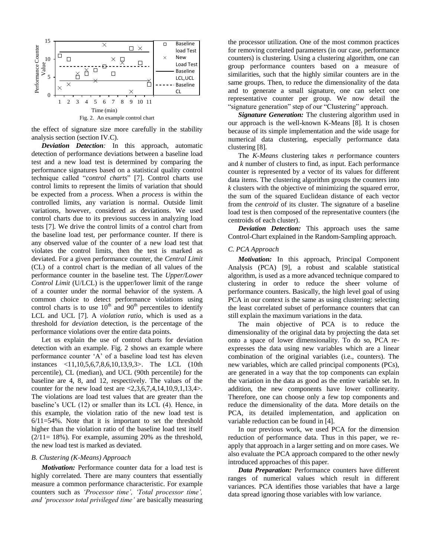

the effect of signature size more carefully in the stability analysis section (section IV.C).

*Deviation Detection:* In this approach, automatic detection of performance deviations between a baseline load test and a new load test is determined by comparing the performance signatures based on a statistical quality control technique called "*control charts*" [7]. Control charts use control limits to represent the limits of variation that should be expected from a *process*. When a *process* is within the controlled limits, any variation is normal. Outside limit variations, however, considered as deviations. We used control charts due to its previous success in analyzing load tests [7]. We drive the control limits of a control chart from the baseline load test, per performance counter. If there is any observed value of the counter of a new load test that violates the control limits, then the test is marked as deviated. For a given performance counter, the *Central Limit* (CL) of a control chart is the median of all values of the performance counter in the baseline test. The *Upper/Lower Control Limit* (U/LCL) is the upper/lower limit of the range of a counter under the normal behavior of the system. A common choice to detect performance violations using control charts is to use  $10<sup>th</sup>$  and  $90<sup>th</sup>$  percentiles to identify LCL and UCL [7]. A *violation ratio*, which is used as a threshold for *deviation* detection, is the percentage of the performance violations over the entire data points.

Let us explain the use of control charts for deviation detection with an example. Fig. 2 shows an example where performance counter "A" of a baseline load test has eleven instances <11,10,5,6,7,8,6,10,13,9,3>. The LCL (10th percentile), CL (median), and UCL (90th percentile) for the baseline are 4, 8, and 12, respectively. The values of the counter for the new load test are  $\langle 2,3,6,7,4,14,10,9,1,13,4 \rangle$ . The violations are load test values that are greater than the baseline's UCL (12) or smaller than its LCL (4). Hence, in this example, the violation ratio of the new load test is  $6/11=54\%$ . Note that it is important to set the threshold higher than the violation ratio of the baseline load test itself  $(2/11= 18\%)$ . For example, assuming 20% as the threshold, the new load test is marked as deviated.

## *B. Clustering (K-Means) Approach*

*Motivation:* Performance counter data for a load test is highly correlated. There are many counters that essentially measure a common performance characteristic. For example counters such as *"Processor time", "Total processor time", and "processor total privileged time"* are basically measuring the processor utilization. One of the most common practices for removing correlated parameters (in our case, performance counters) is clustering. Using a clustering algorithm, one can group performance counters based on a measure of similarities, such that the highly similar counters are in the same groups. Then, to reduce the dimensionality of the data and to generate a small signature, one can select one representative counter per group. We now detail the "signature generation" step of our "Clustering" approach.

*Signature Generation:* The clustering algorithm used in our approach is the well-known K-Means [8]*.* It is chosen because of its simple implementation and the wide usage for numerical data clustering, especially performance data clustering [8].

The *K-Means* clustering takes *n* performance counters and *k* number of clusters to find, as input. Each performance counter is represented by a vector of its values for different data items. The clustering algorithm groups the counters into *k* clusters with the objective of minimizing the squared error, the sum of the squared Euclidean distance of each vector from the *centroid* of its cluster. The signature of a baseline load test is then composed of the representative counters (the centroids of each cluster).

*Deviation Detection:* This approach uses the same Control-Chart explained in the Random-Sampling approach.

## *C. PCA Approach*

*Motivation:* In this approach, Principal Component Analysis (PCA) [9], a robust and scalable statistical algorithm, is used as a more advanced technique compared to clustering in order to reduce the sheer volume of performance counters. Basically, the high level goal of using PCA in our context is the same as using clustering: selecting the least correlated subset of performance counters that can still explain the maximum variations in the data.

The main objective of PCA is to reduce the dimensionality of the original data by projecting the data set onto a space of lower dimensionality. To do so, PCA reexpresses the data using new variables which are a linear combination of the original variables (i.e., counters). The new variables, which are called principal components (PCs), are generated in a way that the top components can explain the variation in the data as good as the entire variable set. In addition, the new components have lower collinearity. Therefore, one can choose only a few top components and reduce the dimensionality of the data. More details on the PCA, its detailed implementation, and application on variable reduction can be found in [4].

In our previous work, we used PCA for the dimension reduction of performance data. Thus in this paper, we reapply that approach in a larger setting and on more cases. We also evaluate the PCA approach compared to the other newly introduced approaches of this paper.

*Data Preparation:* Performance counters have different ranges of numerical values which result in different variances. PCA identifies those variables that have a large data spread ignoring those variables with low variance.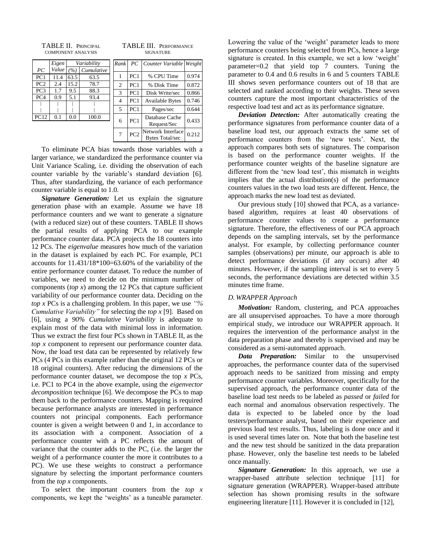|                 | Eigen | Variability |            | Rank           | PC              | Counter Variable Weight |       |
|-----------------|-------|-------------|------------|----------------|-----------------|-------------------------|-------|
| РC              | Value | (%)         | Cumulative |                |                 |                         |       |
| PC1             | 11.4  | 63.5        | 63.5       | 1              | PC1             | % CPU Time              | 0.974 |
| PC <sub>2</sub> | 2.4   | 15.2        | 78.7       | $\overline{c}$ | PC1             | % Disk Time             | 0.872 |
| PC <sub>3</sub> | 1.7   | 9.5         | 88.3       | 3              | PC <sub>1</sub> | Disk Write/sec          | 0.866 |
| PC4             | 0.9   | 5.1         | 93.4       | $\overline{4}$ | PC <sub>1</sub> | <b>Available Bytes</b>  | 0.746 |
|                 |       |             |            |                |                 |                         |       |
|                 |       | ŧ           |            | 5              | PC1             | Pages/sec               | 0.644 |
| <b>PC12</b>     | 0.1   | 0.0         | 100.0      | 6              | PC1             | Database Cache          | 0.433 |
|                 |       |             |            |                |                 | Request/Sec             |       |
|                 |       |             |            | 7              | PC <sub>2</sub> | Network Interface       | 0.212 |
|                 |       |             |            |                |                 | <b>Bytes Total/sec</b>  |       |

TABLE II. PRINCIPAL COMPONENT ANALYSIS TABLE III. PERFORMANCE **SIGNATURE** 

To eliminate PCA bias towards those variables with a larger variance, we standardized the performance counter via Unit Variance Scaling, i.e. dividing the observation of each counter variable by the variable's standard deviation [6]. Thus, after standardizing, the variance of each performance counter variable is equal to 1.0.

*Signature Generation:* Let us explain the signature generation phase with an example. Assume we have 18 performance counters and we want to generate a signature (with a reduced size) out of these counters. TABLE II shows the partial results of applying PCA to our example performance counter data. PCA projects the 18 counters into 12 PCs. The *eigenvalue* measures how much of the variation in the dataset is explained by each PC. For example, PC1 accounts for 11.431/18\*100=63.60% of the variability of the entire performance counter dataset. To reduce the number of variables, we need to decide on the minimum number of components (*top x*) among the 12 PCs that capture sufficient variability of our performance counter data. Deciding on the *top x* PCs is a challenging problem. In this paper, we use *"% Cumulative Variability"* for selecting the *top x* [9]. Based on [6], using a *90% Cumulative Variability* is adequate to explain most of the data with minimal loss in information. Thus we extract the first four PCs shown in TABLE II, as the *top x* component to represent our performance counter data. Now, the load test data can be represented by relatively few PCs (4 PCs in this example rather than the original 12 PCs or 18 original counters). After reducing the dimensions of the performance counter dataset, we decompose the top *x* PCs, i.e. PC1 to PC4 in the above example, using the *eigenvector decomposition* technique [6]. We decompose the PCs to map them back to the performance counters. Mapping is required because performance analysts are interested in performance counters not principal components. Each performance counter is given a weight between 0 and 1, in accordance to its association with a component. Association of a performance counter with a PC reflects the amount of variance that the counter adds to the PC, (i.e. the larger the weight of a performance counter the more it contributes to a PC). We use these weights to construct a performance signature by selecting the important performance counters from the *top x* components.

To select the important counters from the *top x* components, we kept the "weights" as a tuneable parameter.

Lowering the value of the 'weight' parameter leads to more performance counters being selected from PCs, hence a large signature is created. In this example, we set a low "weight" parameter=0.2 that yield top 7 counters. Tuning the parameter to 0.4 and 0.6 results in 6 and 5 counters TABLE III shows seven performance counters out of 18 that are selected and ranked according to their weights. These seven counters capture the most important characteristics of the respective load test and act as its performance signature.

*Deviation Detection:* After automatically creating the performance signatures from performance counter data of a baseline load test, our approach extracts the same set of performance counters from the "new tests". Next, the approach compares both sets of signatures. The comparison is based on the performance counter weights. If the performance counter weights of the baseline signature are different from the 'new load test', this mismatch in weights implies that the actual distribution(s) of the performance counters values in the two load tests are different. Hence, the approach marks the new load test as deviated.

Our previous study [10] showed that PCA, as a variancebased algorithm, requires at least 40 observations of performance counter values to create a performance signature. Therefore, the effectiveness of our PCA approach depends on the sampling intervals, set by the performance analyst. For example, by collecting performance counter samples (observations) per minute, our approach is able to detect performance deviations (if any occurs) after 40 minutes. However, if the sampling interval is set to every 5 seconds, the performance deviations are detected within 3.5 minutes time frame.

## *D. WRAPPER Approach*

*Motivation:* Random, clustering, and PCA approaches are all unsupervised approaches. To have a more thorough empirical study, we introduce our WRAPPER approach. It requires the intervention of the performance analyst in the data preparation phase and thereby is supervised and may be considered as a semi-automated approach.

*Data Preparation:* Similar to the unsupervised approaches, the performance counter data of the supervised approach needs to be sanitized from missing and empty performance counter variables. Moreover, specifically for the supervised approach, the performance counter data of the baseline load test needs to be labeled as *passed* or *failed* for each normal and anomalous observation respectively. The data is expected to be labeled once by the load testers/performance analyst, based on their experience and previous load test results. Thus, labeling is done once and it is used several times later on. Note that both the baseline test and the new test should be sanitized in the data preparation phase. However, only the baseline test needs to be labeled once manually.

*Signature Generation:* In this approach, we use a wrapper-based attribute selection technique [11] for signature generation (WRAPPER). Wrapper-based attribute selection has shown promising results in the software engineering literature [11]. However it is concluded in [12],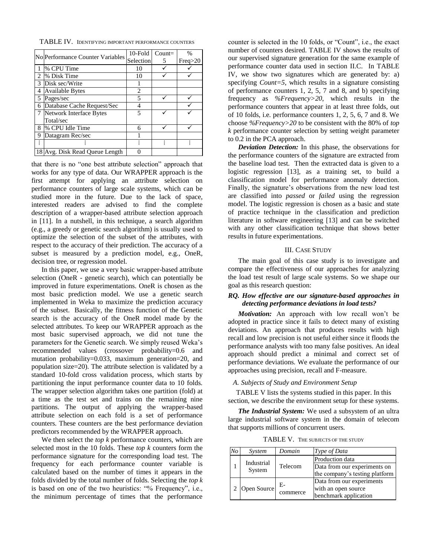TABLE IV. IDENTIFYING IMPORTANT PERFORMANCE COUNTERS

|        | No Performance Counter Variables | $10$ -Fold     | $Count =$ | $\frac{0}{0}$ |
|--------|----------------------------------|----------------|-----------|---------------|
|        |                                  | Selection      | 5         | Freq>20       |
|        | % CPU Time                       | 10             |           |               |
| 2      | % Disk Time                      | 10             |           |               |
| 3      | Disk sec/Write                   |                |           |               |
| 4      | <b>Available Bytes</b>           | $\overline{2}$ |           |               |
| 5      | Pages/sec                        | 5              |           |               |
| 6      | Database Cache Request/Sec       |                |           |               |
| $\tau$ | Network Interface Bytes          | 5              |           |               |
|        | Total/sec                        |                |           |               |
| 8      | % CPU Idle Time                  | 6              |           |               |
| 9      | Datagram Rec/sec                 |                |           |               |
|        |                                  |                |           |               |
|        | 18 Avg. Disk Read Queue Length   |                |           |               |

that there is no "one best attribute selection" approach that works for any type of data. Our WRAPPER approach is the first attempt for applying an attribute selection on performance counters of large scale systems, which can be studied more in the future. Due to the lack of space, interested readers are advised to find the complete description of a wrapper-based attribute selection approach in [11]. In a nutshell, in this technique, a search algorithm (e.g., a greedy or genetic search algorithm) is usually used to optimize the selection of the subset of the attributes, with respect to the accuracy of their prediction. The accuracy of a subset is measured by a prediction model, e.g., OneR, decision tree, or regression model.

In this paper, we use a very basic wrapper-based attribute selection (OneR - genetic search), which can potentially be improved in future experimentations. OneR is chosen as the most basic prediction model. We use a genetic search implemented in Weka to maximize the prediction accuracy of the subset. Basically, the fitness function of the Genetic search is the accuracy of the OneR model made by the selected attributes. To keep our WRAPPER approach as the most basic supervised approach, we did not tune the parameters for the Genetic search. We simply reused Weka"s recommended values (crossover probability=0.6 and mutation probability=0.033, maximum generation=20, and population size=20). The attribute selection is validated by a standard 10-fold cross validation process, which starts by partitioning the input performance counter data to 10 folds. The wrapper selection algorithm takes one partition (fold) at a time as the test set and trains on the remaining nine partitions. The output of applying the wrapper-based attribute selection on each fold is a set of performance counters. These counters are the best performance deviation predictors recommended by the WRAPPER approach.

We then select the *top k* performance counters, which are selected most in the 10 folds. These *top k* counters form the performance signature for the corresponding load test. The frequency for each performance counter variable is calculated based on the number of times it appears in the folds divided by the total number of folds. Selecting the *top k* is based on one of the two heuristics: "% Frequency", i.e., the minimum percentage of times that the performance

counter is selected in the 10 folds, or "Count", i.e., the exact number of counters desired. TABLE IV shows the results of our supervised signature generation for the same example of performance counter data used in section II.C. In TABLE IV, we show two signatures which are generated by: a) specifying *Count=5*, which results in a signature consisting of performance counters 1, 2, 5, 7 and 8, and b) specifying frequency as *%Frequency>20*, which results in the performance counters that appear in at least three folds, out of 10 folds, i.e. performance counters 1, 2, 5, 6, 7 and 8. We choose *%Frequency>20* to be consistent with the 80% of *top k* performance counter selection by setting weight parameter to 0.2 in the PCA approach.

*Deviation Detection:* In this phase, the observations for the performance counters of the signature are extracted from the baseline load test. Then the extracted data is given to a logistic regression [13], as a training set, to build a classification model for performance anomaly detection. Finally, the signature's observations from the new load test are classified into *passed* or *failed* using the regression model. The logistic regression is chosen as a basic and state of practice technique in the classification and prediction literature in software engineering [13] and can be switched with any other classification technique that shows better results in future experimentations.

## III. CASE STUDY

The main goal of this case study is to investigate and compare the effectiveness of our approaches for analyzing the load test result of large scale systems. So we shape our goal as this research question:

# *RQ. How effective are our signature-based approaches in detecting performance deviations in load tests?*

*Motivation:* An approach with low recall won"t be adopted in practice since it fails to detect many of existing deviations. An approach that produces results with high recall and low precision is not useful either since it floods the performance analysts with too many false positives. An ideal approach should predict a minimal and correct set of performance deviations. We evaluate the performance of our approaches using precision, recall and F-measure.

# *A. Subjects of Study and Environment Setup*

TABLE V lists the systems studied in this paper. In this section, we describe the environment setup for these systems.

*The Industrial System:* We used a subsystem of an ultra large industrial software system in the domain of telecom that supports millions of concurrent users.

TABLE V. THE SUBJECTS OF THE STUDY

| No | System      | Domain   | Type of Data                   |  |  |
|----|-------------|----------|--------------------------------|--|--|
|    | Industrial  |          | Production data                |  |  |
|    | System      | Telecom  | Data from our experiments on   |  |  |
|    |             |          | the company's testing platform |  |  |
|    |             | Е-       | Data from our experiments      |  |  |
|    | Open Source | commerce | with an open source            |  |  |
|    |             |          | benchmark application          |  |  |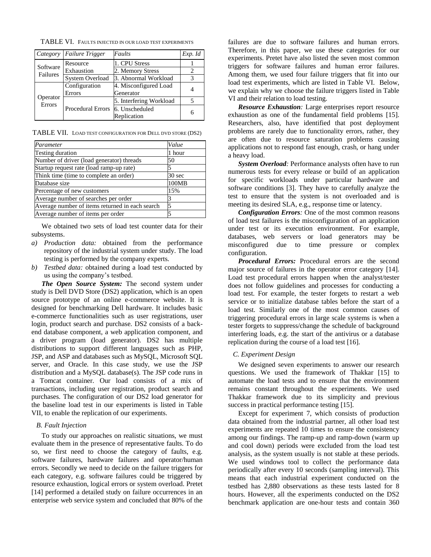TABLE VI. FAULTS INJECTED IN OUR LOAD TEST EXPERIMENTS

| Category             | <b>Failure Trigger</b>   | Faults                  | Exp. Id                     |  |  |
|----------------------|--------------------------|-------------------------|-----------------------------|--|--|
|                      | Resource                 | 1. CPU Stress           |                             |  |  |
| Software<br>Failures | Exhaustion               | 2. Memory Stress        | $\mathcal{D}_{\mathcal{L}}$ |  |  |
|                      | <b>System Overload</b>   | 3. Abnormal Workload    | 3                           |  |  |
|                      | Configuration            | 4. Misconfigured Load   |                             |  |  |
|                      | Errors                   | Generator               |                             |  |  |
| Operator<br>Errors   |                          | 5. Interfering Workload | 5                           |  |  |
|                      | <b>Procedural Errors</b> | 6. Unscheduled          |                             |  |  |
|                      |                          | Replication             | 6                           |  |  |

TABLE VII. LOAD TEST CONFIGURATION FOR DELL DVD STORE (DS2)

| Parameter                                       | Value  |
|-------------------------------------------------|--------|
| <b>Testing duration</b>                         | 1 hour |
| Number of driver (load generator) threads       | 50     |
| Startup request rate (load ramp-up rate)        |        |
| Think time (time to complete an order)          | 30 sec |
| Database size                                   | 100MB  |
| Percentage of new customers                     | 15%    |
| Average number of searches per order            |        |
| Average number of items returned in each search |        |
| Average number of items per order               |        |

We obtained two sets of load test counter data for their subsystems.

- *a) Production data:* obtained from the performance repository of the industrial system under study. The load testing is performed by the company experts.
- *b) Testbed data:* obtained during a load test conducted by us using the company"s testbed.

*The Open Source System:* The second system under study is Dell DVD Store (DS2) application, which is an open source prototype of an online e-commerce website. It is designed for benchmarking Dell hardware. It includes basic e-commerce functionalities such as user registrations, user login, product search and purchase. DS2 consists of a backend database component, a web application component, and a driver program (load generator). DS2 has multiple distributions to support different languages such as PHP, JSP, and ASP and databases such as MySQL, Microsoft SQL server, and Oracle. In this case study, we use the JSP distribution and a MySQL database(s). The JSP code runs in a Tomcat container. Our load consists of a mix of transactions, including user registration, product search and purchases. The configuration of our DS2 load generator for the baseline load test in our experiments is listed in Table VII, to enable the replication of our experiments.

## *B. Fault Injection*

To study our approaches on realistic situations, we must evaluate them in the presence of representative faults. To do so, we first need to choose the category of faults, e.g. software failures, hardware failures and operator/human errors. Secondly we need to decide on the failure triggers for each category, e.g. software failures could be triggered by resource exhaustion, logical errors or system overload. Pretet [14] performed a detailed study on failure occurrences in an enterprise web service system and concluded that 80% of the

failures are due to software failures and human errors. Therefore, in this paper, we use these categories for our experiments. Pretet have also listed the seven most common triggers for software failures and human error failures. Among them, we used four failure triggers that fit into our load test experiments, which are listed in Table VI. Below, we explain why we choose the failure triggers listed in Table VI and their relation to load testing.

*Resource Exhaustion:* Large enterprises report resource exhaustion as one of the fundamental field problems [15]. Researchers, also, have identified that post deployment problems are rarely due to functionality errors, rather, they are often due to resource saturation problems causing applications not to respond fast enough, crash, or hang under a heavy load.

*System Overload:* Performance analysts often have to run numerous tests for every release or build of an application for specific workloads under particular hardware and software conditions [3]. They have to carefully analyze the test to ensure that the system is not overloaded and is meeting its desired SLA, e.g., response time or latency.

*Configuration Errors:* One of the most common reasons of load test failures is the misconfiguration of an application under test or its execution environment. For example, databases, web servers or load generators may be misconfigured due to time pressure or complex configuration.

*Procedural Errors:* Procedural errors are the second major source of failures in the operator error category [14]. Load test procedural errors happen when the analyst/tester does not follow guidelines and processes for conducting a load test. For example, the tester forgets to restart a web service or to initialize database tables before the start of a load test. Similarly one of the most common causes of triggering procedural errors in large scale systems is when a tester forgets to suppress/change the schedule of background interfering loads, e.g. the start of the antivirus or a database replication during the course of a load test [16].

# *C. Experiment Design*

We designed seven experiments to answer our research questions. We used the framework of Thakkar [15] to automate the load tests and to ensure that the environment remains constant throughout the experiments. We used Thakkar framework due to its simplicity and previous success in practical performance testing [15].

Except for experiment 7, which consists of production data obtained from the industrial partner, all other load test experiments are repeated 10 times to ensure the consistency among our findings. The ramp-up and ramp-down (warm up and cool down) periods were excluded from the load test analysis, as the system usually is not stable at these periods. We used windows tool to collect the performance data periodically after every 10 seconds (sampling interval). This means that each industrial experiment conducted on the testbed has 2,880 observations as these tests lasted for 8 hours. However, all the experiments conducted on the DS2 benchmark application are one-hour tests and contain 360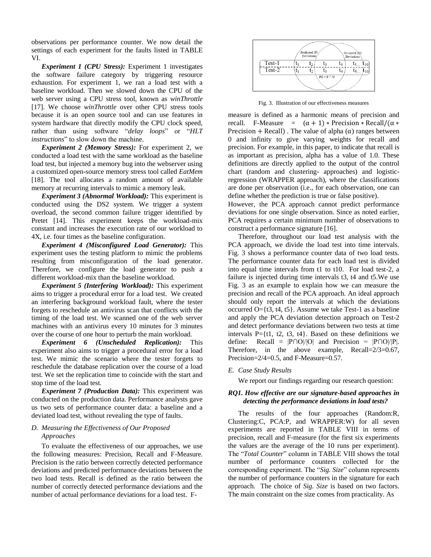observations per performance counter. We now detail the settings of each experiment for the faults listed in TABLE VI.

*Experiment 1 (CPU Stress):* Experiment 1 investigates the software failure category by triggering resource exhaustion. For experiment 1, we ran a load test with a baseline workload. Then we slowed down the CPU of the web server using a CPU stress tool, known as *winThrottle* [17]. We choose *winThrottle* over other CPU stress tools because it is an open source tool and can use features in system hardware that directly modify the CPU clock speed, rather than using software "*delay loops*" or "*HLT instructions*" to slow down the machine.

*Experiment 2 (Memory Stress):* For experiment 2, we conducted a load test with the same workload as the baseline load test, but injected a memory bug into the webserver using a customized open-source memory stress tool called *EatMem* [18]. The tool allocates a random amount of available memory at recurring intervals to mimic a memory leak.

*Experiment 3 (Abnormal Workload):* This experiment is conducted using the DS2 system. We trigger a system overload, the second common failure trigger identified by Pretet [14]. This experiment keeps the workload-mix constant and increases the execution rate of our workload to 4X, i.e. four times as the baseline configuration.

*Experiment 4 (Misconfigured Load Generator):* This experiment uses the testing platform to mimic the problems resulting from misconfiguration of the load generator. Therefore, we configure the load generator to push a different workload-mix than the baseline workload.

*Experiment 5 (Interfering Workload):* This experiment aims to trigger a procedural error for a load test. We created an interfering background workload fault, where the tester forgets to reschedule an antivirus scan that conflicts with the timing of the load test. We scanned one of the web server machines with an antivirus every 10 minutes for 3 minutes over the course of one hour to perturb the main workload.

*Experiment 6 (Unscheduled Replication):* This experiment also aims to trigger a procedural error for a load test. We mimic the scenario where the tester forgets to reschedule the database replication over the course of a load test. We set the replication time to coincide with the start and stop time of the load test*.* 

*Experiment 7 (Production Data):* This experiment was conducted on the production data. Performance analysts gave us two sets of performance counter data: a baseline and a deviated load test, without revealing the type of faults.

# *D. Measuring the Effectiveness of Our Proposed Approaches*

To evaluate the effectiveness of our approaches, we use the following measures: Precision, Recall and F-Measure. Precision is the ratio between correctly detected performance deviations and predicted performance deviations between the two load tests. Recall is defined as the ratio between the number of correctly detected performance deviations and the number of actual performance deviations for a load test. F-



Fig. 3. Illustration of our effectiveness measures

measure is defined as a harmonic means of precision and recall. F-Measure =  $(\alpha + 1) * Precision * Recall/(\alpha *$ Precision + Recall). The value of alpha  $(\alpha)$  ranges between 0 and infinity to give varying weights for recall and precision. For example, in this paper, to indicate that recall is as important as precision, alpha has a value of 1.0. These definitions are directly applied to the output of the control chart (random and clustering- approaches) and logisticregression (WRAPPER approach), where the classifications are done per observation (i.e., for each observation, one can define whether the prediction is true or false positive).

However, the PCA approach cannot predict performance deviations for one single observation. Since as noted earlier, PCA requires a certain minimum number of observations to construct a performance signature [16].

Therefore, throughout our load test analysis with the PCA approach, we divide the load test into time intervals. Fig. 3 shows a performance counter data of two load tests. The performance counter data for each load test is divided into equal time intervals from t1 to t10. For load test-2, a failure is injected during time intervals t3, t4 and t5.We use Fig. 3 as an example to explain how we can measure the precision and recall of the PCA approach. An ideal approach should only report the intervals at which the deviations occurred  $O = \{t3, t4, t5\}$ . Assume we take Test-1 as a baseline and apply the PCA deviation detection approach on Test-2 and detect performance deviations between two tests at time intervals  $P = \{t1, t2, t3, t4\}$ . Based on these definitions we define: Recall = |P∩O|/|O| and Precision = |P∩O|/|P|. Therefore, in the above example, Recall= $2/3=0.67$ , Precision=2/4=0.5, and F-Measure=0.57.

## *E. Case Study Results*

We report our findings regarding our research question:

## *RQ1. How effective are our signature-based approaches in detecting the performance deviations in load tests?*

The results of the four approaches (Random:R, Clustering:C, PCA:P, and WRAPPER:W) for all seven experiments are reported in TABLE VIII in terms of precision, recall and F-measure (for the first six experiments the values are the average of the 10 runs per experiment). The "*Total Counter*" column in TABLE VIII shows the total number of performance counters collected for the corresponding experiment. The "*Sig. Size*" column represents the number of performance counters in the signature for each approach. The choice of *Sig. Size* is based on two factors. The main constraint on the size comes from practicality. As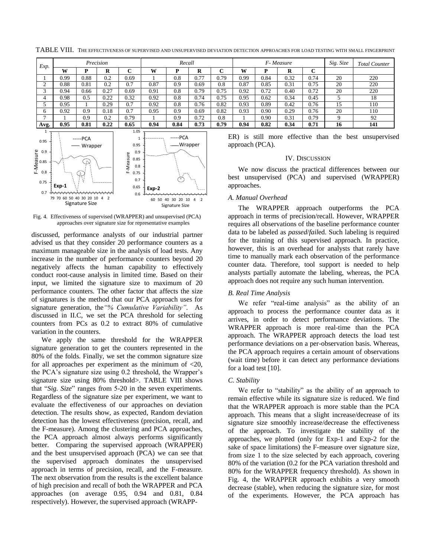| Exp.   | Precision |      |      | Recall |      |      | F-Measure |            |      |      | Sig. Size | <b>Total Counter</b> |    |     |
|--------|-----------|------|------|--------|------|------|-----------|------------|------|------|-----------|----------------------|----|-----|
|        | W         | D    | R    | $\sim$ | W    | D    | R         | $\sqrt{ }$ | W    | D    | D         | $\sim$<br>◡          |    |     |
|        | 0.99      | 0.88 | 0.2  | 0.69   |      | 0.8  | 0.77      | 0.79       | 0.99 | 0.84 | 0.32      | 0.74                 | 20 | 220 |
| $\sim$ | $_{0.88}$ | 0.81 | 0.2  | 0.7    | 0.87 | 0.9  | 0.69      | 0.8        | 0.87 | 0.85 | 0.31      | 0.75                 | 20 | 220 |
|        | 0.94      | 0.66 | 0.27 | 0.69   | 0.91 | 0.8  | 0.79      | 0.75       | 0.92 | 0.72 | 0.40      | 0.72                 | 20 | 220 |
|        | 0.98      | 0.5  | 0.22 | 0.32   | 0.92 | 0.8  | 0.74      | 0.75       | 0.95 | 0.62 | 0.34      | 0.45                 |    | 18  |
|        | 0.95      |      | 0.29 | 0.7    | 0.92 | 0.8  | 0.76      | 0.82       | 0.93 | 0.89 | 0.42      | 0.76                 | 15 | 110 |
|        | 0.92      | 0.9  | 0.18 | 0.7    | 0.95 | 0.9  | 0.69      | 0.82       | 0.93 | 0.90 | 0.29      | 0.76                 | 20 | 110 |
|        |           | 0.9  | 0.2  | 0.79   |      | 0.9  | 0.72      | 0.8        |      | 0.90 | 0.31      | 0.79                 |    | 92  |
| Avg.   | 0.95      | 0.81 | 0.22 | 0.65   | 0.94 | 0.84 | 0.73      | 0.79       | 0.94 | 0.82 | 0.34      | 0.71                 | 16 | 141 |

TABLE VIII. THE EFFECTIVENESS OF SUPERVISED AND UNSUPERVISED DEVIATION DETECTION APPROACHES FOR LOAD TESTING WITH SMALL FINGERPRINT



Fig. 4. Effectiveness of supervised (WRAPPER) and unsupervised (PCA) approaches over signature size for representative examples

discussed, performance analysts of our industrial partner advised us that they consider 20 performance counters as a maximum manageable size in the analysis of load tests. Any increase in the number of performance counters beyond 20 negatively affects the human capability to effectively conduct root-cause analysis in limited time. Based on their input, we limited the signature size to maximum of 20 performance counters. The other factor that affects the size of signatures is the method that our PCA approach uses for signature generation, the*"% Cumulative Variability"*. As discussed in II.C, we set the PCA threshold for selecting counters from PCs as 0.2 to extract 80% of cumulative variation in the counters.

We apply the same threshold for the WRAPPER signature generation to get the counters represented in the 80% of the folds. Finally, we set the common signature size for all approaches per experiment as the minimum of  $\langle 20, 1 \rangle$ the PCA"s signature size using 0.2 threshold, the Wrapper"s signature size using 80% threshold>. TABLE VIII shows that "*Sig. Size*" ranges from 5-20 in the seven experiments. Regardless of the signature size per experiment, we want to evaluate the effectiveness of our approaches on deviation detection. The results show, as expected, Random deviation detection has the lowest effectiveness (precision, recall, and the F-measure). Among the clustering and PCA approaches, the PCA approach almost always performs significantly better. Comparing the supervised approach (WRAPPER) and the best unsupervised approach (PCA) we can see that the supervised approach dominates the unsupervised approach in terms of precision, recall, and the F-measure. The next observation from the results is the excellent balance of high precision and recall of both the WRAPPER and PCA approaches (on average 0.95, 0.94 and 0.81, 0.84 respectively). However, the supervised approach (WRAPP-

ER) is still more effective than the best unsupervised approach (PCA).

## IV. DISCUSSION

We now discuss the practical differences between our best unsupervised (PCA) and supervised (WRAPPER) approaches.

## *A. Manual Overhead*

The WRAPPER approach outperforms the PCA approach in terms of precision/recall. However, WRAPPER requires all observations of the baseline performance counter data to be labeled as *passed*/*fail*ed. Such labeling is required for the training of this supervised approach. In practice, however, this is an overhead for analysts that rarely have time to manually mark each observation of the performance counter data. Therefore, tool support is needed to help analysts partially automate the labeling, whereas, the PCA approach does not require any such human intervention.

## *B. Real Time Analysis*

We refer "real-time analysis" as the ability of an approach to process the performance counter data as it arrives, in order to detect performance deviations. The WRAPPER approach is more real-time than the PCA approach. The WRAPPER approach detects the load test performance deviations on a per-observation basis. Whereas, the PCA approach requires a certain amount of observations (wait time) before it can detect any performance deviations for a load test [10].

## *C. Stability*

We refer to "stability" as the ability of an approach to remain effective while its signature size is reduced. We find that the WRAPPER approach is more stable than the PCA approach. This means that a slight increase/decrease of its signature size smoothly increase/decrease the effectiveness of the approach. To investigate the stability of the approaches, we plotted (only for Exp-1 and Exp-2 for the sake of space limitations) the F-measure over signature size, from size 1 to the size selected by each approach, covering 80% of the variation (0.2 for the PCA variation threshold and 80% for the WRAPPER frequency threshold). As shown in Fig. 4, the WRAPPER approach exhibits a very smooth decrease (stable), when reducing the signature size, for most of the experiments. However, the PCA approach has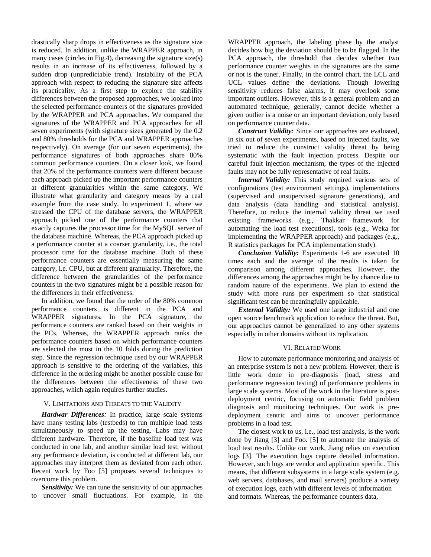drastically sharp drops in effectiveness as the signature size is reduced. In addition, unlike the WRAPPER approach, in many cases (circles in Fig.4), decreasing the signature size(s) results in an increase of its effectiveness, followed by a sudden drop (unpredictable trend). Instability of the PCA approach with respect to reducing the signature size affects its practicality. As a first step to explore the stability differences between the proposed approaches, we looked into the selected performance counters of the signatures provided by the WRAPPER and PCA approaches. We compared the signatures of the WRAPPER and PCA approaches for all seven experiments (with signature sizes generated by the 0.2 and 80% thresholds for the PCA and WRAPPER approaches respectively). On average (for our seven experiments), the performance signatures of both approaches share 80% common performance counters. On a closer look, we found that 20% of the performance counters were different because each approach picked up the important performance counters at different granularities within the same category. We illustrate what granularity and category means by a real example from the case study. In experiment 1, where we stressed the CPU of the database servers, the WRAPPER approach picked one of the performance counters that exactly captures the processor time for the MySQL server of the database machine. Whereas, the PCA approach picked up a performance counter at a coarser granularity, i.e., the total processor time for the database machine. Both of these performance counters are essentially measuring the same category, i.e. CPU, but at different granularity. Therefore, the difference between the granularities of the performance counters in the two signatures might be a possible reason for the differences in their effectiveness.

In addition, we found that the order of the 80% common performance counters is different in the PCA and WRAPPER signatures. In the PCA signature, the performance counters are ranked based on their weights in the PCs. Whereas, the WRAPPER approach ranks the performance counters based on which performance counters are selected the most in the 10 folds during the prediction step. Since the regression technique used by our WRAPPER approach is sensitive to the ordering of the variables, this difference in the ordering might be another possible cause for the differences between the effectiveness of these two approaches, which again requires further studies.

## V. LIMITATIONS AND THREATS TO THE VALIDITY

*Hardwar Differences:* In practice, large scale systems have many testing labs (testbeds) to run multiple load tests simultaneously to speed up the testing. Labs may have different hardware. Therefore, if the baseline load test was conducted in one lab, and another similar load test, without any performance deviation, is conducted at different lab, our approaches may interpret them as deviated from each other. Recent work by Foo [5] proposes several techniques to overcome this problem.

*Sensitivity:* We can tune the sensitivity of our approaches to uncover small fluctuations. For example, in the WRAPPER approach, the labeling phase by the analyst decides how big the deviation should be to be flagged. In the PCA approach, the threshold that decides whether two performance counter weights in the signatures are the same or not is the tuner. Finally, in the control chart, the LCL and UCL values define the deviations. Though lowering sensitivity reduces false alarms, it may overlook some important outliers. However, this is a general problem and an automated technique, generally, cannot decide whether a given outlier is a noise or an important deviation, only based on performance counter data.

*Construct Validity:* Since our approaches are evaluated, in six out of seven experiments, based on injected faults, we tried to reduce the construct validity threat by being systematic with the fault injection process. Despite our careful fault injection mechanism, the types of the injected faults may not be fully representative of real faults.

*Internal Validity:* This study required various sets of configurations (test environment settings), implementations (supervised and unsupervised signature generations), and data analysis (data handling and statistical analysis). Therefore, to reduce the internal validity threat we used existing frameworks (e.g., Thakkar framework for automating the load test executions), tools (e.g., Weka for implementing the WRAPPER approach) and packages (e.g., R statistics packages for PCA implementation study).

*Conclusion Validity:* Experiments 1-6 are executed 10 times each and the average of the results is taken for comparison among different approaches. However, the differences among the approaches might be by chance due to random nature of the experiments. We plan to extend the study with more runs per experiment so that statistical significant test can be meaningfully applicable.

*External Validity:* We used one large industrial and one open source benchmark application to reduce the threat. But, our approaches cannot be generalized to any other systems especially in other domains without its replication.

## VI. RELATED WORK

How to automate performance monitoring and analysis of an enterprise system is not a new problem. However, there is little work done in pre-diagnosis (load, stress and performance regression testing) of performance problems in large scale systems. Most of the work in the literature is postdeployment centric, focusing on automatic field problem diagnosis and monitoring techniques. Our work is predeployment centric and aims to uncover performance problems in a load test.

The closest work to us, i.e., load test analysis, is the work done by Jiang [3] and Foo. [5] to automate the analysis of load test results. Unlike our work, Jiang relies on execution logs [3]. The execution logs capture detailed information. However, such logs are vendor and application specific. This means, that different subsystems in a large scale system (e.g. web servers, databases, and mail servers) produce a variety of execution logs, each with different levels of information and formats. Whereas, the performance counters data,